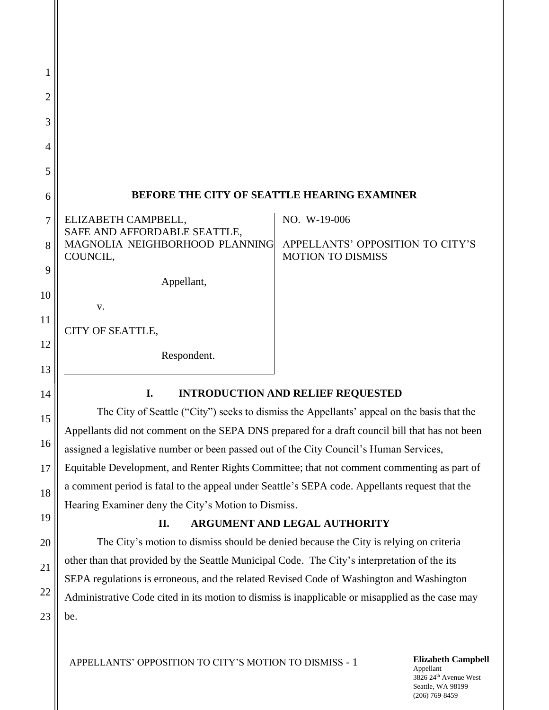| 1              |                                                     |                                                              |
|----------------|-----------------------------------------------------|--------------------------------------------------------------|
| $\overline{2}$ |                                                     |                                                              |
| 3              |                                                     |                                                              |
| 4              |                                                     |                                                              |
| 5              |                                                     |                                                              |
| 6              | BEFORE THE CITY OF SEATTLE HEARING EXAMINER         |                                                              |
| 7              | ELIZABETH CAMPBELL,<br>SAFE AND AFFORDABLE SEATTLE, | NO. W-19-006                                                 |
| 8              | MAGNOLIA NEIGHBORHOOD PLANNING<br>COUNCIL,          | APPELLANTS' OPPOSITION TO CITY'S<br><b>MOTION TO DISMISS</b> |
|                |                                                     |                                                              |
| 9              | Appellant,                                          |                                                              |
| 10             |                                                     |                                                              |
|                | v.                                                  |                                                              |
| 11             |                                                     |                                                              |
|                | CITY OF SEATTLE,                                    |                                                              |
| 12             |                                                     |                                                              |
|                | Respondent.                                         |                                                              |
| 13             |                                                     |                                                              |
|                |                                                     |                                                              |

# **I. INTRODUCTION AND RELIEF REQUESTED**

The City of Seattle ("City") seeks to dismiss the Appellants' appeal on the basis that the Appellants did not comment on the SEPA DNS prepared for a draft council bill that has not been assigned a legislative number or been passed out of the City Council's Human Services, Equitable Development, and Renter Rights Committee; that not comment commenting as part of a comment period is fatal to the appeal under Seattle's SEPA code. Appellants request that the Hearing Examiner deny the City's Motion to Dismiss.

## **II. ARGUMENT AND LEGAL AUTHORITY**

The City's motion to dismiss should be denied because the City is relying on criteria other than that provided by the Seattle Municipal Code. The City's interpretation of the its SEPA regulations is erroneous, and the related Revised Code of Washington and Washington Administrative Code cited in its motion to dismiss is inapplicable or misapplied as the case may be.

14

15

16

17

18

19

20

21

22

23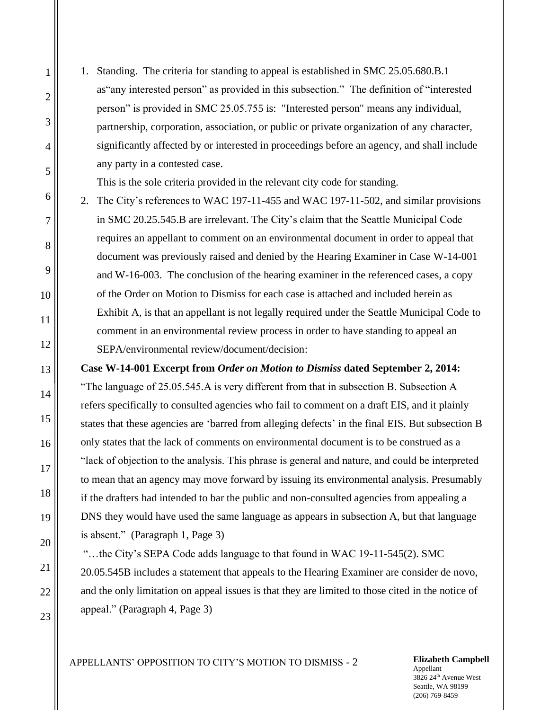1. Standing. The criteria for standing to appeal is established in SMC 25.05.680.B.1 as"any interested person" as provided in this subsection." The definition of "interested person" is provided in SMC 25.05.755 is: "Interested person" means any individual, partnership, corporation, association, or public or private organization of any character, significantly affected by or interested in proceedings before an agency, and shall include any party in a contested case.

This is the sole criteria provided in the relevant city code for standing.

2. The City's references to WAC 197-11-455 and WAC 197-11-502, and similar provisions in SMC 20.25.545.B are irrelevant. The City's claim that the Seattle Municipal Code requires an appellant to comment on an environmental document in order to appeal that document was previously raised and denied by the Hearing Examiner in Case W-14-001 and W-16-003. The conclusion of the hearing examiner in the referenced cases, a copy of the Order on Motion to Dismiss for each case is attached and included herein as Exhibit A, is that an appellant is not legally required under the Seattle Municipal Code to comment in an environmental review process in order to have standing to appeal an SEPA/environmental review/document/decision:

**Case W-14-001 Excerpt from** *Order on Motion to Dismiss* **dated September 2, 2014:**

"The language of 25.05.545.A is very different from that in subsection B. Subsection A refers specifically to consulted agencies who fail to comment on a draft EIS, and it plainly states that these agencies are 'barred from alleging defects' in the final EIS. But subsection B only states that the lack of comments on environmental document is to be construed as a "lack of objection to the analysis. This phrase is general and nature, and could be interpreted to mean that an agency may move forward by issuing its environmental analysis. Presumably if the drafters had intended to bar the public and non-consulted agencies from appealing a DNS they would have used the same language as appears in subsection A, but that language is absent." (Paragraph 1, Page 3)

"…the City's SEPA Code adds language to that found in WAC 19-11-545(2). SMC 20.05.545B includes a statement that appeals to the Hearing Examiner are consider de novo, and the only limitation on appeal issues is that they are limited to those cited in the notice of appeal." (Paragraph 4, Page 3)

Appellant 3826 24th Avenue West Seattle, WA 98199 (206) 769-8459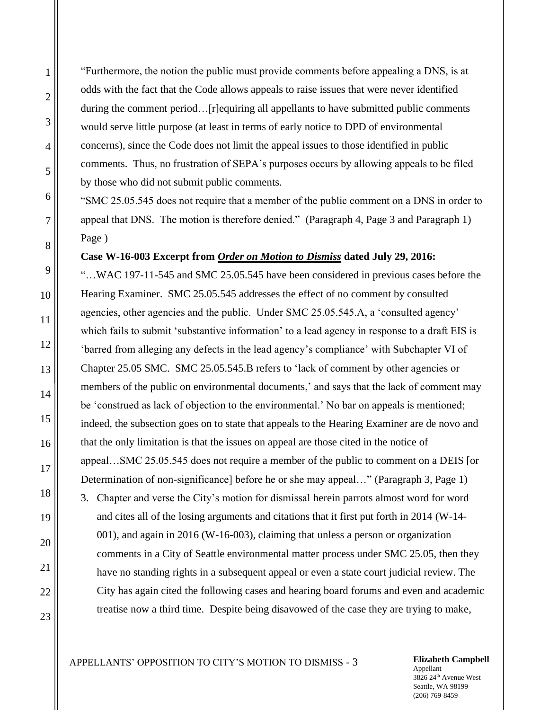"Furthermore, the notion the public must provide comments before appealing a DNS, is at odds with the fact that the Code allows appeals to raise issues that were never identified during the comment period...[r]equiring all appellants to have submitted public comments would serve little purpose (at least in terms of early notice to DPD of environmental concerns), since the Code does not limit the appeal issues to those identified in public comments. Thus, no frustration of SEPA's purposes occurs by allowing appeals to be filed by those who did not submit public comments.

"SMC 25.05.545 does not require that a member of the public comment on a DNS in order to appeal that DNS. The motion is therefore denied." (Paragraph 4, Page 3 and Paragraph 1) Page )

### **Case W-16-003 Excerpt from** *Order on Motion to Dismiss* **dated July 29, 2016:**

"…WAC 197-11-545 and SMC 25.05.545 have been considered in previous cases before the Hearing Examiner. SMC 25.05.545 addresses the effect of no comment by consulted agencies, other agencies and the public. Under SMC 25.05.545.A, a 'consulted agency' which fails to submit 'substantive information' to a lead agency in response to a draft EIS is 'barred from alleging any defects in the lead agency's compliance' with Subchapter VI of Chapter 25.05 SMC. SMC 25.05.545.B refers to 'lack of comment by other agencies or members of the public on environmental documents,' and says that the lack of comment may be 'construed as lack of objection to the environmental.' No bar on appeals is mentioned; indeed, the subsection goes on to state that appeals to the Hearing Examiner are de novo and that the only limitation is that the issues on appeal are those cited in the notice of appeal…SMC 25.05.545 does not require a member of the public to comment on a DEIS [or Determination of non-significance] before he or she may appeal..." (Paragraph 3, Page 1) 3. Chapter and verse the City's motion for dismissal herein parrots almost word for word and cites all of the losing arguments and citations that it first put forth in 2014 (W-14-

001), and again in 2016 (W-16-003), claiming that unless a person or organization comments in a City of Seattle environmental matter process under SMC 25.05, then they have no standing rights in a subsequent appeal or even a state court judicial review. The City has again cited the following cases and hearing board forums and even and academic treatise now a third time. Despite being disavowed of the case they are trying to make,

#### Appellant 3826 24th Avenue West Seattle, WA 98199 (206) 769-8459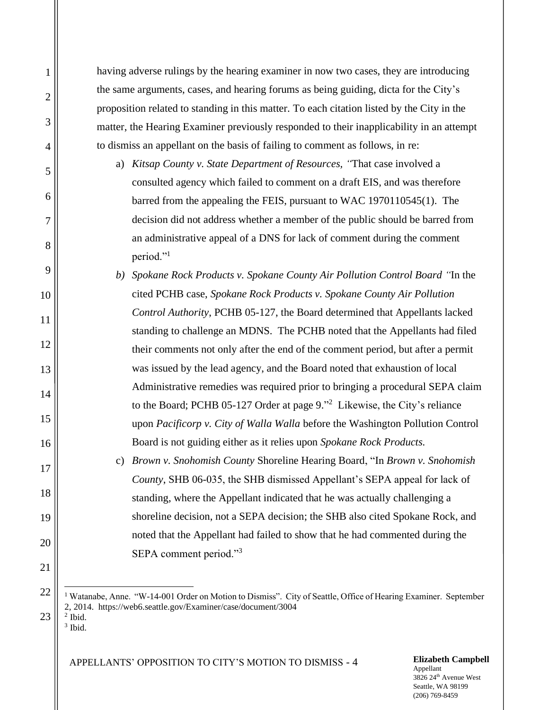having adverse rulings by the hearing examiner in now two cases, they are introducing the same arguments, cases, and hearing forums as being guiding, dicta for the City's proposition related to standing in this matter. To each citation listed by the City in the matter, the Hearing Examiner previously responded to their inapplicability in an attempt to dismiss an appellant on the basis of failing to comment as follows, in re:

- a) *Kitsap County v. State Department of Resources, "*That case involved a consulted agency which failed to comment on a draft EIS, and was therefore barred from the appealing the FEIS, pursuant to WAC 1970110545(1). The decision did not address whether a member of the public should be barred from an administrative appeal of a DNS for lack of comment during the comment period."<sup>1</sup>
- *b) Spokane Rock Products v. Spokane County Air Pollution Control Board "*In the cited PCHB case, *Spokane Rock Products v. Spokane County Air Pollution Control Authority*, PCHB 05-127, the Board determined that Appellants lacked standing to challenge an MDNS. The PCHB noted that the Appellants had filed their comments not only after the end of the comment period, but after a permit was issued by the lead agency, and the Board noted that exhaustion of local Administrative remedies was required prior to bringing a procedural SEPA claim to the Board; PCHB 05-127 Order at page 9." 2 Likewise, the City's reliance upon *Pacificorp v. City of Walla Walla* before the Washington Pollution Control Board is not guiding either as it relies upon *Spokane Rock Products.* 
	- c) *Brown v. Snohomish County* Shoreline Hearing Board, "In *Brown v. Snohomish County*, SHB 06-035, the SHB dismissed Appellant's SEPA appeal for lack of standing, where the Appellant indicated that he was actually challenging a shoreline decision, not a SEPA decision; the SHB also cited Spokane Rock, and noted that the Appellant had failed to show that he had commented during the SEPA comment period."<sup>3</sup>

<sup>1</sup> Watanabe, Anne. "W-14-001 Order on Motion to Dismiss". City of Seattle, Office of Hearing Examiner. September 2, 2014. https://web6.seattle.gov/Examiner/case/document/3004 2 Ibid.

23 3 Ibid.

1

2

3

4

5

6

7

8

9

10

11

12

13

14

15

16

17

18

19

20

21

22

APPELLANTS' OPPOSITION TO CITY'S MOTION TO DISMISS - 4 **Elizabeth Campbell**

Appellant 3826 24th Avenue West Seattle, WA 98199 (206) 769-8459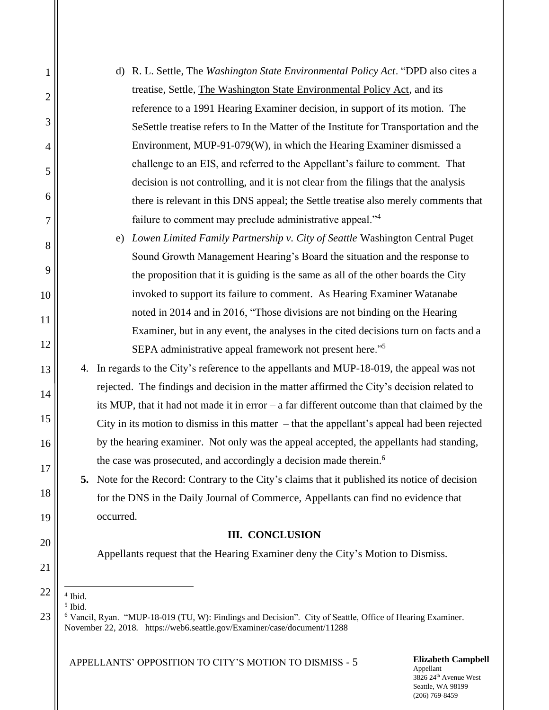| $\mathbf{1}$   | R. L. Settle, The Washington State Environmental Policy Act. "DPD also cites a<br>d)                                                                                                             |  |  |  |  |  |
|----------------|--------------------------------------------------------------------------------------------------------------------------------------------------------------------------------------------------|--|--|--|--|--|
| $\overline{2}$ | treatise, Settle, The Washington State Environmental Policy Act, and its                                                                                                                         |  |  |  |  |  |
|                | reference to a 1991 Hearing Examiner decision, in support of its motion. The                                                                                                                     |  |  |  |  |  |
| 3              | SeSettle treatise refers to In the Matter of the Institute for Transportation and the                                                                                                            |  |  |  |  |  |
| $\overline{4}$ | Environment, MUP-91-079(W), in which the Hearing Examiner dismissed a                                                                                                                            |  |  |  |  |  |
| 5              | challenge to an EIS, and referred to the Appellant's failure to comment. That                                                                                                                    |  |  |  |  |  |
|                | decision is not controlling, and it is not clear from the filings that the analysis                                                                                                              |  |  |  |  |  |
| 6              | there is relevant in this DNS appeal; the Settle treatise also merely comments that                                                                                                              |  |  |  |  |  |
| 7              | failure to comment may preclude administrative appeal." <sup>4</sup>                                                                                                                             |  |  |  |  |  |
| 8              | Lowen Limited Family Partnership v. City of Seattle Washington Central Puget<br>e)                                                                                                               |  |  |  |  |  |
|                | Sound Growth Management Hearing's Board the situation and the response to                                                                                                                        |  |  |  |  |  |
| 9              | the proposition that it is guiding is the same as all of the other boards the City                                                                                                               |  |  |  |  |  |
| 10             | invoked to support its failure to comment. As Hearing Examiner Watanabe                                                                                                                          |  |  |  |  |  |
| 11             | noted in 2014 and in 2016, "Those divisions are not binding on the Hearing                                                                                                                       |  |  |  |  |  |
|                | Examiner, but in any event, the analyses in the cited decisions turn on facts and a                                                                                                              |  |  |  |  |  |
| 12             | SEPA administrative appeal framework not present here." <sup>5</sup>                                                                                                                             |  |  |  |  |  |
| 13             | 4. In regards to the City's reference to the appellants and MUP-18-019, the appeal was not                                                                                                       |  |  |  |  |  |
| 14             | rejected. The findings and decision in the matter affirmed the City's decision related to                                                                                                        |  |  |  |  |  |
|                | its MUP, that it had not made it in error $-$ a far different outcome than that claimed by the                                                                                                   |  |  |  |  |  |
| 15             | City in its motion to dismiss in this matter $-$ that the appellant's appeal had been rejected                                                                                                   |  |  |  |  |  |
| 16             | by the hearing examiner. Not only was the appeal accepted, the appellants had standing,                                                                                                          |  |  |  |  |  |
| 17             | the case was prosecuted, and accordingly a decision made therein. <sup>6</sup>                                                                                                                   |  |  |  |  |  |
|                | 5. Note for the Record: Contrary to the City's claims that it published its notice of decision                                                                                                   |  |  |  |  |  |
| 18             | for the DNS in the Daily Journal of Commerce, Appellants can find no evidence that                                                                                                               |  |  |  |  |  |
| 19             | occurred.                                                                                                                                                                                        |  |  |  |  |  |
| 20             | <b>III. CONCLUSION</b>                                                                                                                                                                           |  |  |  |  |  |
| 21             | Appellants request that the Hearing Examiner deny the City's Motion to Dismiss.                                                                                                                  |  |  |  |  |  |
| 22             |                                                                                                                                                                                                  |  |  |  |  |  |
|                | $4$ Ibid.<br>$5$ Ibid.                                                                                                                                                                           |  |  |  |  |  |
| 23             | <sup>6</sup> Vancil, Ryan. "MUP-18-019 (TU, W): Findings and Decision". City of Seattle, Office of Hearing Examiner.<br>November 22, 2018. https://web6.seattle.gov/Examiner/case/document/11288 |  |  |  |  |  |
|                | <b>Elizabeth Campbell</b><br>APPELLANTS' OPPOSITION TO CITY'S MOTION TO DISMISS - 5                                                                                                              |  |  |  |  |  |

Appellant 3826 24<sup>th</sup> Avenue West Seattle, WA 98199 (206) 769-8459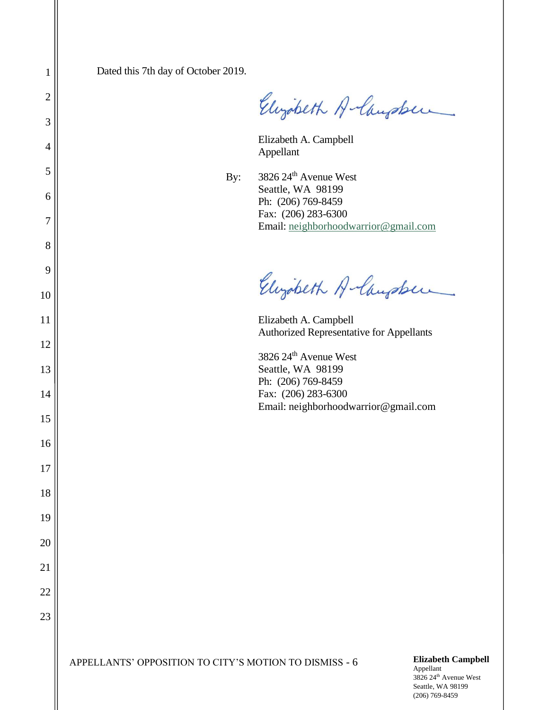Dated this 7th day of October 2019.

Elizabeth Albugaber

Elizabeth A. Campbell Appellant

By:  $3826 24^{\text{th}}$  Avenue West Seattle, WA 98199 Ph: (206) 769-8459 Fax: (206) 283-6300 Email: [neighborhoodwarrior@gmail.com](mailto:neighborhoodwarrior@gmail.com)

Elizabeth A-langsber

Elizabeth A. Campbell Authorized Representative for Appellants

3826 24th Avenue West Seattle, WA 98199 Ph: (206) 769-8459 Fax: (206) 283-6300 Email: neighborhoodwarrior@gmail.com

Seattle, WA 98199 (206) 769-8459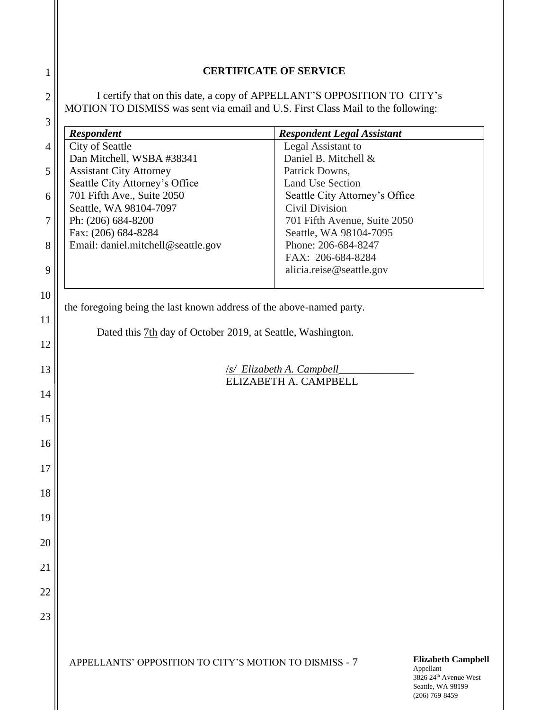| <b>CERTIFICATE OF SERVICE</b> |  |
|-------------------------------|--|
|-------------------------------|--|

I certify that on this date, a copy of APPELLANT'S OPPOSITION TO CITY's MOTION TO DISMISS was sent via email and U.S. First Class Mail to the following:

1

2

| $\mathfrak{Z}$ |                                                                      |                                        |                                                                                                  |  |
|----------------|----------------------------------------------------------------------|----------------------------------------|--------------------------------------------------------------------------------------------------|--|
|                | <b>Respondent</b>                                                    | <b>Respondent Legal Assistant</b>      |                                                                                                  |  |
| $\overline{4}$ | City of Seattle                                                      | Legal Assistant to                     |                                                                                                  |  |
| 5              | Dan Mitchell, WSBA #38341<br><b>Assistant City Attorney</b>          | Daniel B. Mitchell &<br>Patrick Downs, |                                                                                                  |  |
|                | Seattle City Attorney's Office                                       | <b>Land Use Section</b>                |                                                                                                  |  |
| 6              | 701 Fifth Ave., Suite 2050                                           | Seattle City Attorney's Office         |                                                                                                  |  |
|                | Seattle, WA 98104-7097                                               | Civil Division                         |                                                                                                  |  |
| 7              | Ph: (206) 684-8200                                                   | 701 Fifth Avenue, Suite 2050           |                                                                                                  |  |
|                | Fax: (206) 684-8284                                                  | Seattle, WA 98104-7095                 |                                                                                                  |  |
| 8              | Email: daniel.mitchell@seattle.gov                                   | Phone: 206-684-8247                    |                                                                                                  |  |
|                |                                                                      | FAX: 206-684-8284                      |                                                                                                  |  |
| 9              |                                                                      | alicia.reise@seattle.gov               |                                                                                                  |  |
| 10             |                                                                      |                                        |                                                                                                  |  |
|                | the foregoing being the last known address of the above-named party. |                                        |                                                                                                  |  |
| 11             |                                                                      |                                        |                                                                                                  |  |
|                | Dated this 7th day of October 2019, at Seattle, Washington.          |                                        |                                                                                                  |  |
| 12             |                                                                      |                                        |                                                                                                  |  |
| 13             | <b>/s/ Elizabeth A. Campbell</b><br>ELIZABETH A. CAMPBELL            |                                        |                                                                                                  |  |
|                |                                                                      |                                        |                                                                                                  |  |
| 14             |                                                                      |                                        |                                                                                                  |  |
|                |                                                                      |                                        |                                                                                                  |  |
| 15             |                                                                      |                                        |                                                                                                  |  |
| 16             |                                                                      |                                        |                                                                                                  |  |
|                |                                                                      |                                        |                                                                                                  |  |
| 17             |                                                                      |                                        |                                                                                                  |  |
|                |                                                                      |                                        |                                                                                                  |  |
| 18             |                                                                      |                                        |                                                                                                  |  |
| 19             |                                                                      |                                        |                                                                                                  |  |
|                |                                                                      |                                        |                                                                                                  |  |
| 20             |                                                                      |                                        |                                                                                                  |  |
|                |                                                                      |                                        |                                                                                                  |  |
| 21             |                                                                      |                                        |                                                                                                  |  |
| 22             |                                                                      |                                        |                                                                                                  |  |
|                |                                                                      |                                        |                                                                                                  |  |
| 23             |                                                                      |                                        |                                                                                                  |  |
|                |                                                                      |                                        |                                                                                                  |  |
|                |                                                                      |                                        |                                                                                                  |  |
|                | APPELLANTS' OPPOSITION TO CITY'S MOTION TO DISMISS - 7               |                                        | <b>Elizabeth Campbell</b><br>Appellant<br>3826 24 <sup>th</sup> Avenue West<br>Seattle, WA 98199 |  |

(206) 769-8459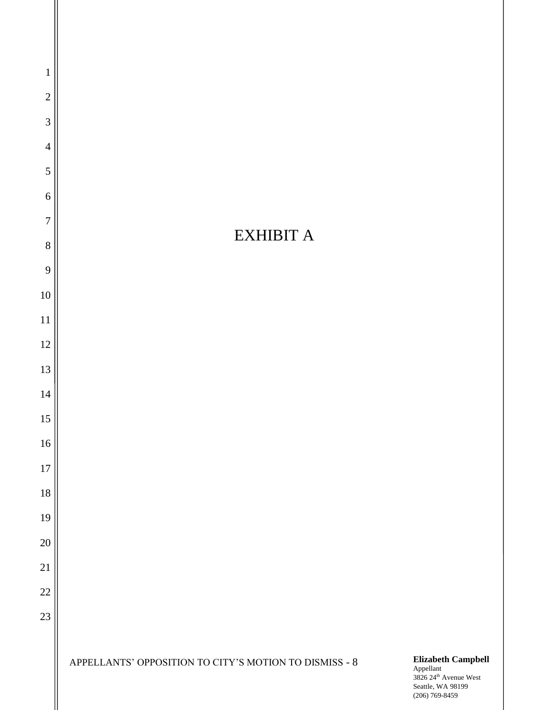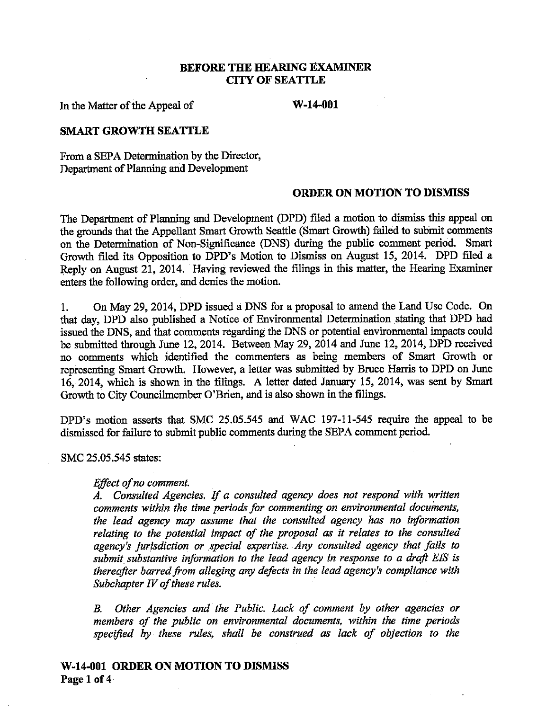### **BEFORE THE HEARING EXAMINER CITY OF SEATTLE**

In the Matter of the Appeal of

 $W-14-001$ 

#### **SMART GROWTH SEATTLE**

From a SEPA Determination by the Director. Department of Planning and Development

#### **ORDER ON MOTION TO DISMISS**

The Department of Planning and Development (DPD) filed a motion to dismiss this appeal on the grounds that the Appellant Smart Growth Seattle (Smart Growth) failed to submit comments on the Determination of Non-Significance (DNS) during the public comment period. Smart Growth filed its Opposition to DPD's Motion to Dismiss on August 15, 2014. DPD filed a Reply on August 21, 2014. Having reviewed the filings in this matter, the Hearing Examiner enters the following order, and denies the motion.

1. On May 29, 2014, DPD issued a DNS for a proposal to amend the Land Use Code. On that day. DPD also published a Notice of Environmental Determination stating that DPD had issued the DNS, and that comments regarding the DNS or potential environmental impacts could be submitted through June 12, 2014. Between May 29, 2014 and June 12, 2014, DPD received no comments which identified the commenters as being members of Smart Growth or representing Smart Growth. However, a letter was submitted by Bruce Harris to DPD on June 16, 2014, which is shown in the filings. A letter dated January 15, 2014, was sent by Smart Growth to City Councilmember O'Brien, and is also shown in the filings.

DPD's motion asserts that SMC 25.05.545 and WAC 197-11-545 require the appeal to be dismissed for failure to submit public comments during the SEPA comment period.

SMC 25.05.545 states:

#### Effect of no comment.

A. Consulted Agencies. If a consulted agency does not respond with written comments within the time periods for commenting on environmental documents, the lead agency may assume that the consulted agency has no information relating to the potential impact of the proposal as it relates to the consulted agency's jurisdiction or special expertise. Any consulted agency that fails to submit substantive information to the lead agency in response to a draft EIS is thereafter barred from alleging any defects in the lead agency's compliance with Subchapter IV of these rules.

Other Agencies and the Public. Lack of comment by other agencies or  $B_{\cdot}$ members of the public on environmental documents, within the time periods specified by these rules, shall be construed as lack of objection to the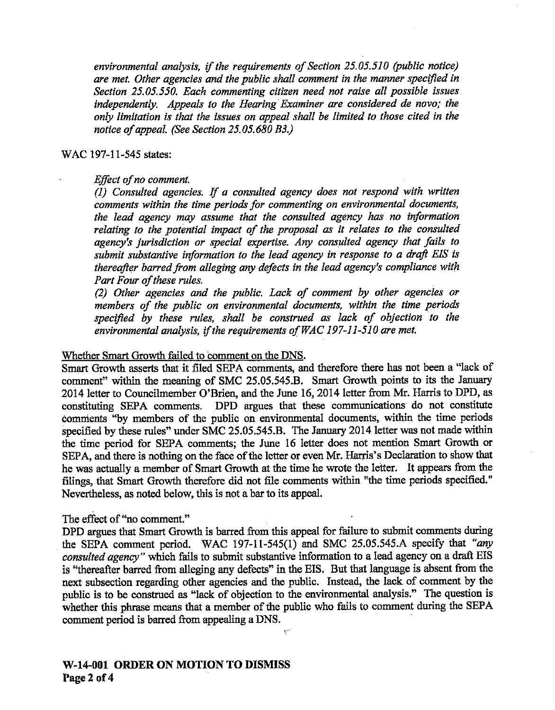environmental analysis, if the requirements of Section 25.05.510 (public notice) are met. Other agencies and the public shall comment in the manner specified in Section 25.05.550. Each commenting citizen need not raise all possible issues independently. Appeals to the Hearing Examiner are considered de novo; the only limitation is that the issues on appeal shall be limited to those cited in the notice of appeal. (See Section 25.05.680 B3.)

#### WAC 197-11-545 states:

#### Effect of no comment.

(1) Consulted agencies. If a consulted agency does not respond with written comments within the time periods for commenting on environmental documents, the lead agency may assume that the consulted agency has no information relating to the potential impact of the proposal as it relates to the consulted agency's jurisdiction or special expertise. Any consulted agency that fails to submit substantive information to the lead agency in response to a draft EIS is thereafter barred from alleging any defects in the lead agency's compliance with Part Four of these rules.

(2) Other agencies and the public. Lack of comment by other agencies or members of the public on environmental documents, within the time periods specified by these rules, shall be construed as lack of objection to the environmental analysis, if the requirements of WAC 197-11-510 are met.

#### Whether Smart Growth failed to comment on the DNS.

Smart Growth asserts that it filed SEPA comments, and therefore there has not been a "lack of comment" within the meaning of SMC 25.05.545.B. Smart Growth points to its the January 2014 letter to Councilmember O'Brien, and the June 16, 2014 letter from Mr. Harris to DPD, as constituting SEPA comments. DPD argues that these communications do not constitute comments "by members of the public on environmental documents, within the time periods specified by these rules" under SMC 25.05.545.B. The January 2014 letter was not made within the time period for SEPA comments; the June 16 letter does not mention Smart Growth or SEPA, and there is nothing on the face of the letter or even Mr. Harris's Declaration to show that he was actually a member of Smart Growth at the time he wrote the letter. It appears from the filings, that Smart Growth therefore did not file comments within "the time periods specified." Nevertheless, as noted below, this is not a bar to its appeal.

### The effect of "no comment."

DPD argues that Smart Growth is barred from this appeal for failure to submit comments during the SEPA comment period. WAC 197-11-545(1) and SMC 25.05.545.A specify that "any consulted agency" which fails to submit substantive information to a lead agency on a draft EIS is "thereafter barred from alleging any defects" in the EIS. But that language is absent from the next subsection regarding other agencies and the public. Instead, the lack of comment by the public is to be construed as "lack of objection to the environmental analysis." The question is whether this phrase means that a member of the public who fails to comment during the SEPA comment period is barred from appealing a DNS.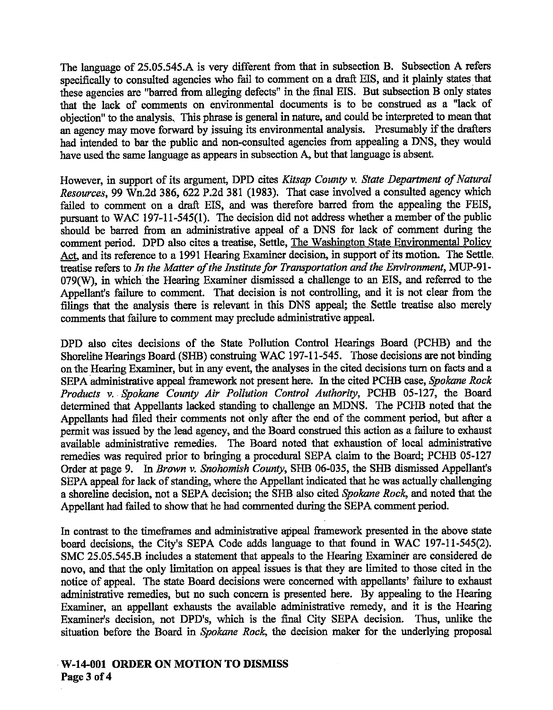The language of 25.05.545.A is very different from that in subsection B. Subsection A refers specifically to consulted agencies who fail to comment on a draft EIS, and it plainly states that these agencies are "barred from alleging defects" in the final EIS. But subsection B only states that the lack of comments on environmental documents is to be construed as a "lack of objection" to the analysis. This phrase is general in nature, and could be interpreted to mean that an agency may move forward by issuing its environmental analysis. Presumably if the drafters had intended to bar the public and non-consulted agencies from appealing a DNS, they would have used the same language as appears in subsection A, but that language is absent.

However, in support of its argument, DPD cites Kitsap County v. State Department of Natural Resources, 99 Wn.2d 386, 622 P.2d 381 (1983). That case involved a consulted agency which failed to comment on a draft EIS, and was therefore barred from the appealing the FEIS, pursuant to WAC 197-11-545(1). The decision did not address whether a member of the public should be barred from an administrative appeal of a DNS for lack of comment during the comment period. DPD also cites a treatise, Settle, The Washington State Environmental Policy Act, and its reference to a 1991 Hearing Examiner decision, in support of its motion. The Settle, treatise refers to In the Matter of the Institute for Transportation and the Environment, MUP-91-079(W), in which the Hearing Examiner dismissed a challenge to an EIS, and referred to the Appellant's failure to comment. That decision is not controlling, and it is not clear from the filings that the analysis there is relevant in this DNS appeal; the Settle treatise also merely comments that failure to comment may preclude administrative appeal.

DPD also cites decisions of the State Pollution Control Hearings Board (PCHB) and the Shoreline Hearings Board (SHB) construing WAC 197-11-545. Those decisions are not binding on the Hearing Examiner, but in any event, the analyses in the cited decisions turn on facts and a SEPA administrative appeal framework not present here. In the cited PCHB case, Spokane Rock Products v. Spokane County Air Pollution Control Authority, PCHB 05-127, the Board determined that Appellants lacked standing to challenge an MDNS. The PCHB noted that the Appellants had filed their comments not only after the end of the comment period, but after a permit was issued by the lead agency, and the Board construed this action as a failure to exhaust available administrative remedies. The Board noted that exhaustion of local administrative remedies was required prior to bringing a procedural SEPA claim to the Board; PCHB 05-127 Order at page 9. In Brown v. Snohomish County, SHB 06-035, the SHB dismissed Appellant's SEPA appeal for lack of standing, where the Appellant indicated that he was actually challenging a shoreline decision, not a SEPA decision; the SHB also cited Spokane Rock, and noted that the Appellant had failed to show that he had commented during the SEPA comment period.

In contrast to the timeframes and administrative appeal framework presented in the above state board decisions, the City's SEPA Code adds language to that found in WAC 197-11-545(2). SMC 25.05.545.B includes a statement that appeals to the Hearing Examiner are considered de novo, and that the only limitation on appeal issues is that they are limited to those cited in the notice of appeal. The state Board decisions were concerned with appellants' failure to exhaust administrative remedies, but no such concern is presented here. By appealing to the Hearing Examiner, an appellant exhausts the available administrative remedy, and it is the Hearing Examiner's decision, not DPD's, which is the final City SEPA decision. Thus, unlike the situation before the Board in Spokane Rock, the decision maker for the underlying proposal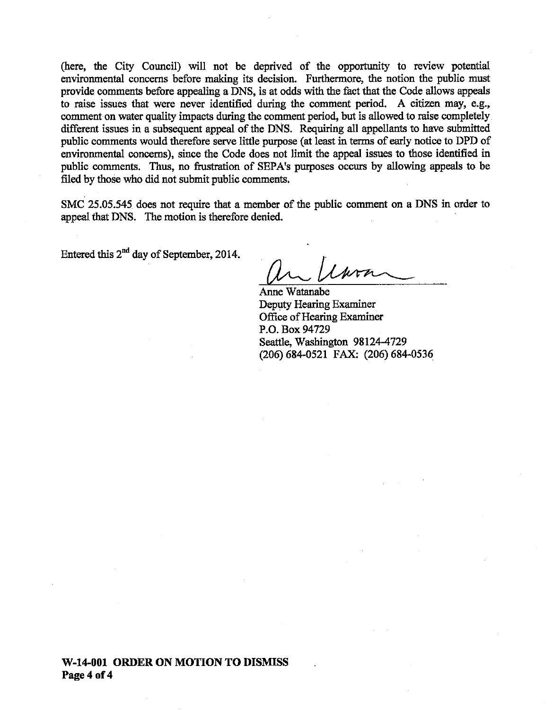(here, the City Council) will not be deprived of the opportunity to review potential environmental concerns before making its decision. Furthermore, the notion the public must provide comments before appealing a DNS, is at odds with the fact that the Code allows appeals to raise issues that were never identified during the comment period. A citizen may, e.g., comment on water quality impacts during the comment period, but is allowed to raise completely. different issues in a subsequent appeal of the DNS. Requiring all appellants to have submitted public comments would therefore serve little purpose (at least in terms of early notice to DPD of environmental concerns), since the Code does not limit the appeal issues to those identified in public comments. Thus, no frustration of SEPA's purposes occurs by allowing appeals to be filed by those who did not submit public comments.

SMC 25.05.545 does not require that a member of the public comment on a DNS in order to appeal that DNS. The motion is therefore denied.

Entered this  $2<sup>nd</sup>$  day of September, 2014.

Anne Watanabe Deputy Hearing Examiner Office of Hearing Examiner P.O. Box 94729 Seattle, Washington 98124-4729 (206) 684-0521 FAX: (206) 684-0536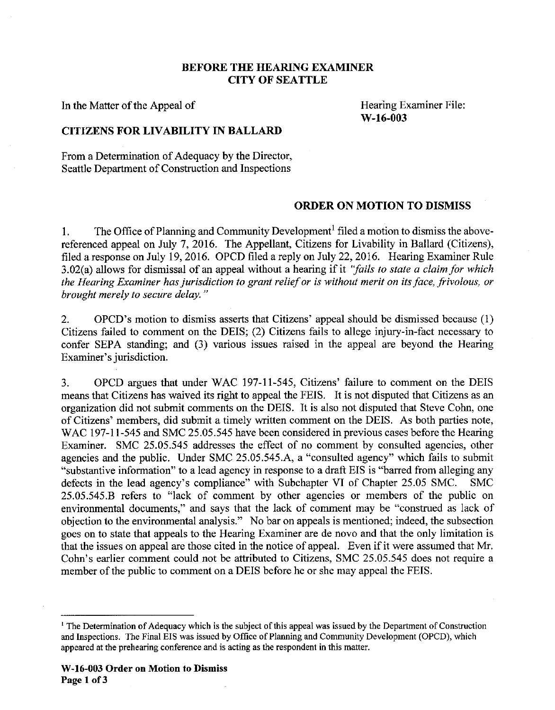### **BEFORE THE HEARING EXAMINER CITY OF SEATTLE**

In the Matter of the Appeal of

Hearing Examiner File:  $W-16-003$ 

### **CITIZENS FOR LIVABILITY IN BALLARD**

From a Determination of Adequacy by the Director, Seattle Department of Construction and Inspections

### **ORDER ON MOTION TO DISMISS**

The Office of Planning and Community Development<sup>1</sup> filed a motion to dismiss the above- $1<sub>1</sub>$ referenced appeal on July 7, 2016. The Appellant, Citizens for Livability in Ballard (Citizens), filed a response on July 19, 2016. OPCD filed a reply on July 22, 2016. Hearing Examiner Rule 3.02(a) allows for dismissal of an appeal without a hearing if it "fails to state a claim for which the Hearing Examiner has jurisdiction to grant relief or is without merit on its face, frivolous, or brought merely to secure delay."

OPCD's motion to dismiss asserts that Citizens' appeal should be dismissed because (1)  $\overline{2}$ . Citizens failed to comment on the DEIS; (2) Citizens fails to allege injury-in-fact necessary to confer SEPA standing; and (3) various issues raised in the appeal are beyond the Hearing Examiner's jurisdiction.

 $3<sub>1</sub>$ OPCD argues that under WAC 197-11-545, Citizens' failure to comment on the DEIS means that Citizens has waived its right to appeal the FEIS. It is not disputed that Citizens as an organization did not submit comments on the DEIS. It is also not disputed that Steve Cohn, one of Citizens' members, did submit a timely written comment on the DEIS. As both parties note, WAC 197-11-545 and SMC 25.05.545 have been considered in previous cases before the Hearing Examiner. SMC 25.05.545 addresses the effect of no comment by consulted agencies, other agencies and the public. Under SMC 25.05.545.A, a "consulted agency" which fails to submit "substantive information" to a lead agency in response to a draft EIS is "barred from alleging any defects in the lead agency's compliance" with Subchapter VI of Chapter 25.05 SMC. **SMC** 25.05.545.B refers to "lack of comment by other agencies or members of the public on environmental documents," and says that the lack of comment may be "construed as lack of objection to the environmental analysis." No bar on appeals is mentioned; indeed, the subsection goes on to state that appeals to the Hearing Examiner are de novo and that the only limitation is that the issues on appeal are those cited in the notice of appeal. Even if it were assumed that Mr. Cohn's earlier comment could not be attributed to Citizens, SMC 25.05.545 does not require a member of the public to comment on a DEIS before he or she may appeal the FEIS.

<sup>&</sup>lt;sup>1</sup> The Determination of Adequacy which is the subject of this appeal was issued by the Department of Construction and Inspections. The Final EIS was issued by Office of Planning and Community Development (OPCD), which appeared at the prehearing conference and is acting as the respondent in this matter.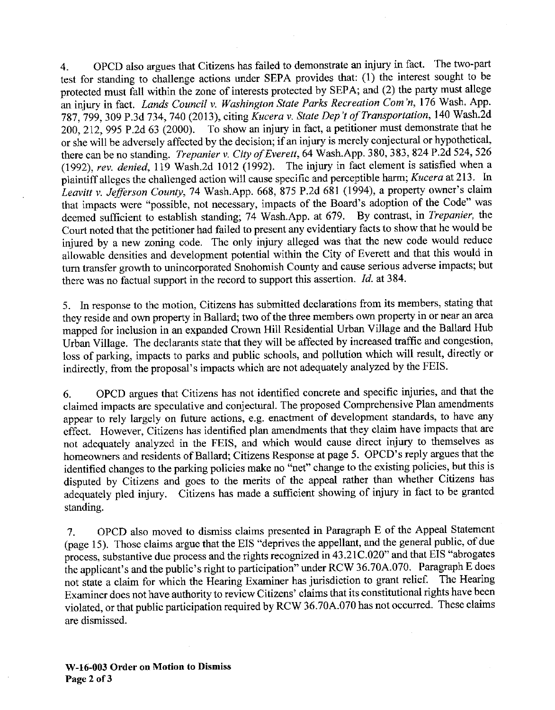OPCD also argues that Citizens has failed to demonstrate an injury in fact. The two-part  $\overline{4}$ . test for standing to challenge actions under SEPA provides that: (1) the interest sought to be protected must fall within the zone of interests protected by SEPA; and (2) the party must allege an injury in fact. Lands Council v. Washington State Parks Recreation Com'n, 176 Wash. App. 787, 799, 309 P.3d 734, 740 (2013), citing Kucera v. State Dep't of Transportation, 140 Wash.2d 200, 212, 995 P.2d 63 (2000). To show an injury in fact, a petitioner must demonstrate that he or she will be adversely affected by the decision; if an injury is merely conjectural or hypothetical, there can be no standing. Trepanier v. City of Everett, 64 Wash.App. 380, 383, 824 P.2d 524, 526 (1992), rev. denied, 119 Wash.2d 1012 (1992). The injury in fact element is satisfied when a plaintiff alleges the challenged action will cause specific and perceptible harm; Kucera at 213. In Leavitt v. Jefferson County, 74 Wash.App. 668, 875 P.2d 681 (1994), a property owner's claim that impacts were "possible, not necessary, impacts of the Board's adoption of the Code" was deemed sufficient to establish standing; 74 Wash.App. at 679. By contrast, in Trepanier, the Court noted that the petitioner had failed to present any evidentiary facts to show that he would be injured by a new zoning code. The only injury alleged was that the new code would reduce allowable densities and development potential within the City of Everett and that this would in turn transfer growth to unincorporated Snohomish County and cause serious adverse impacts; but there was no factual support in the record to support this assertion. *Id.* at 384.

5. In response to the motion, Citizens has submitted declarations from its members, stating that they reside and own property in Ballard; two of the three members own property in or near an area mapped for inclusion in an expanded Crown Hill Residential Urban Village and the Ballard Hub Urban Village. The declarants state that they will be affected by increased traffic and congestion, loss of parking, impacts to parks and public schools, and pollution which will result, directly or indirectly, from the proposal's impacts which are not adequately analyzed by the FEIS.

OPCD argues that Citizens has not identified concrete and specific injuries, and that the 6. claimed impacts are speculative and conjectural. The proposed Comprehensive Plan amendments appear to rely largely on future actions, e.g. enactment of development standards, to have any effect. However, Citizens has identified plan amendments that they claim have impacts that are not adequately analyzed in the FEIS, and which would cause direct injury to themselves as homeowners and residents of Ballard; Citizens Response at page 5. OPCD's reply argues that the identified changes to the parking policies make no <sup>th</sup>net" change to the existing policies, but this is disputed by Citizens and goes to the merits of the appeal rather than whether Citizens has adequately pled injury. Citizens has made a sufficient showing of injury in fact to be granted standing.

OPCD also moved to dismiss claims presented in Paragraph E of the Appeal Statement 7. (page 15). Those claims argue that the EIS "deprives the appellant, and the general public, of due process, substantive due process and the rights recognized in 43.21C.020" and that EIS "abrogates" the applicant's and the public's right to participation" under RCW 36.70A.070. Paragraph E does not state a claim for which the Hearing Examiner has jurisdiction to grant relief. The Hearing Examiner does not have authority to review Citizens' claims that its constitutional rights have been violated, or that public participation required by RCW 36.70A.070 has not occurred. These claims are dismissed.